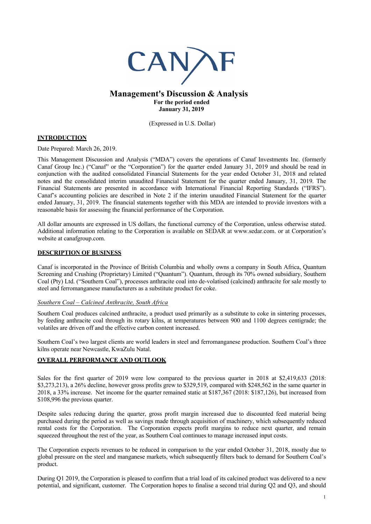

# **Management's Discussion & Analysis For the period ended January 31, 2019**

(Expressed in U.S. Dollar)

## **INTRODUCTION**

Date Prepared: March 26, 2019.

This Management Discussion and Analysis ("MDA") covers the operations of Canaf Investments Inc. (formerly Canaf Group Inc.) ("Canaf" or the "Corporation") for the quarter ended January 31, 2019 and should be read in conjunction with the audited consolidated Financial Statements for the year ended October 31, 2018 and related notes and the consolidated interim unaudited Financial Statement for the quarter ended January, 31, 2019. The Financial Statements are presented in accordance with International Financial Reporting Standards ("IFRS"). Canaf's accounting policies are described in Note 2 if the interim unaudited Financial Statement for the quarter ended January, 31, 2019. The financial statements together with this MDA are intended to provide investors with a reasonable basis for assessing the financial performance of the Corporation.

All dollar amounts are expressed in US dollars, the functional currency of the Corporation, unless otherwise stated. Additional information relating to the Corporation is available on SEDAR at www.sedar.com. or at Corporation's website at canafgroup.com.

### **DESCRIPTION OF BUSINESS**

Canaf is incorporated in the Province of British Columbia and wholly owns a company in South Africa, Quantum Screening and Crushing (Proprietary) Limited ("Quantum"). Quantum, through its 70% owned subsidiary, Southern Coal (Pty) Ltd. ("Southern Coal"), processes anthracite coal into de-volatised (calcined) anthracite for sale mostly to steel and ferromanganese manufacturers as a substitute product for coke.

### *Southern Coal – Calcined Anthracite, South Africa*

Southern Coal produces calcined anthracite, a product used primarily as a substitute to coke in sintering processes, by feeding anthracite coal through its rotary kilns, at temperatures between 900 and 1100 degrees centigrade; the volatiles are driven off and the effective carbon content increased.

Southern Coal's two largest clients are world leaders in steel and ferromanganese production. Southern Coal's three kilns operate near Newcastle, KwaZulu Natal.

### **OVERALL PERFORMANCE AND OUTLOOK**

Sales for the first quarter of 2019 were low compared to the previous quarter in 2018 at \$2,419,633 (2018: \$3,273,213), a 26% decline, however gross profits grew to \$329,519, compared with \$248,562 in the same quarter in 2018, a 33% increase. Net income for the quarter remained static at \$187,367 (2018: \$187,126), but increased from \$108,996 the previous quarter.

Despite sales reducing during the quarter, gross profit margin increased due to discounted feed material being purchased during the period as well as savings made through acquisition of machinery, which subsequently reduced rental costs for the Corporation. The Corporation expects profit margins to reduce next quarter, and remain squeezed throughout the rest of the year, as Southern Coal continues to manage increased input costs.

The Corporation expects revenues to be reduced in comparison to the year ended October 31, 2018, mostly due to global pressure on the steel and manganese markets, which subsequently filters back to demand for Southern Coal's product.

During Q1 2019, the Corporation is pleased to confirm that a trial load of its calcined product was delivered to a new potential, and significant, customer. The Corporation hopes to finalise a second trial during Q2 and Q3, and should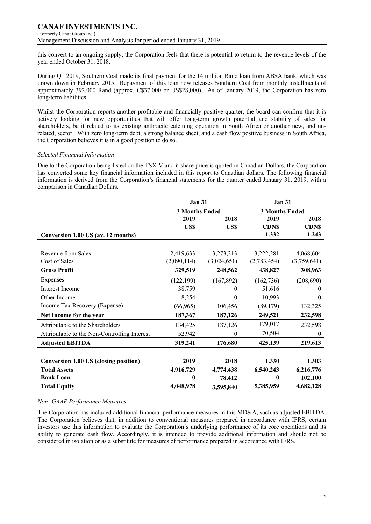#### **CANAF INVESTMENTS INC.** (Formerly Canaf Group Inc.)

Management Discussion and Analysis for period ended January 31, 2019

this convert to an ongoing supply, the Corporation feels that there is potential to return to the revenue levels of the year ended October 31, 2018.

During Q1 2019, Southern Coal made its final payment for the 14 million Rand loan from ABSA bank, which was drawn down in February 2015. Repayment of this loan now releases Southern Coal from monthly installments of approximately 392,000 Rand (approx. C\$37,000 or US\$28,000). As of January 2019, the Corporation has zero long-term liabilities.

Whilst the Corporation reports another profitable and financially positive quarter, the board can confirm that it is actively looking for new opportunities that will offer long-term growth potential and stability of sales for shareholders, be it related to its existing anthracite calcining operation in South Africa or another new, and unrelated, sector. With zero long-term debt, a strong balance sheet, and a cash flow positive business in South Africa, the Corporation believes it is in a good position to do so.

## *Selected Financial Information*

Due to the Corporation being listed on the TSX-V and it share price is quoted in Canadian Dollars, the Corporation has converted some key financial information included in this report to Canadian dollars. The following financial information is derived from the Corporation's financial statements for the quarter ended January 31, 2019, with a comparison in Canadian Dollars.

|                                              | <b>Jan 31</b>         |             | <b>Jan 31</b>         |              |  |
|----------------------------------------------|-----------------------|-------------|-----------------------|--------------|--|
|                                              | <b>3 Months Ended</b> |             | <b>3 Months Ended</b> |              |  |
|                                              | 2019                  | 2018        | 2019                  | 2018         |  |
|                                              | US\$                  | US\$        | <b>CDN\$</b>          | <b>CDNS</b>  |  |
| Conversion 1.00 US (av. 12 months)           |                       |             | 1.332                 | 1.243        |  |
|                                              |                       |             |                       |              |  |
| Revenue from Sales                           | 2,419,633             | 3,273,213   | 3,222,281             | 4,068,604    |  |
| Cost of Sales                                | (2,090,114)           | (3,024,651) | (2,783,454)           | (3,759,641)  |  |
| <b>Gross Profit</b>                          | 329,519               | 248,562     | 438,827               | 308,963      |  |
| Expenses                                     | (122, 199)            | (167, 892)  | (162, 736)            | (208, 690)   |  |
| Interest Income                              | 38,759                | 0           | 51,616                | $\theta$     |  |
| Other Income                                 | 8,254                 | $\theta$    | 10,993                | $\Omega$     |  |
| Income Tax Recovery (Expense)                | (66, 965)             | 106,456     | (89,179)              | 132,325      |  |
| Net Income for the year                      | 187,367               | 187,126     | 249,521               | 232,598      |  |
| Attributable to the Shareholders             | 134,425               | 187,126     | 179,017               | 232,598      |  |
| Attributable to the Non-Controlling Interest | 52,942                | $\theta$    | 70,504                | $\mathbf{0}$ |  |
| <b>Adjusted EBITDA</b>                       | 319,241               | 176,680     | 425,139               | 219,613      |  |
|                                              |                       |             |                       |              |  |
| <b>Conversion 1.00 US (closing position)</b> | 2019                  | 2018        | 1.330                 | 1.303        |  |
| <b>Total Assets</b>                          | 4,916,729             | 4,774,438   | 6,540,243             | 6,216,776    |  |
| <b>Bank Loan</b>                             | 0                     | 78,412      | 0                     | 102,100      |  |
| <b>Total Equity</b>                          | 4,048,978             | 3,595,840   | 5,385,959             | 4,682,128    |  |

### *Non- GAAP Performance Measures*

The Corporation has included additional financial performance measures in this MD&A, such as adjusted EBITDA. The Corporation believes that, in addition to conventional measures prepared in accordance with IFRS, certain investors use this information to evaluate the Corporation's underlying performance of its core operations and its ability to generate cash flow. Accordingly, it is intended to provide additional information and should not be considered in isolation or as a substitute for measures of performance prepared in accordance with IFRS.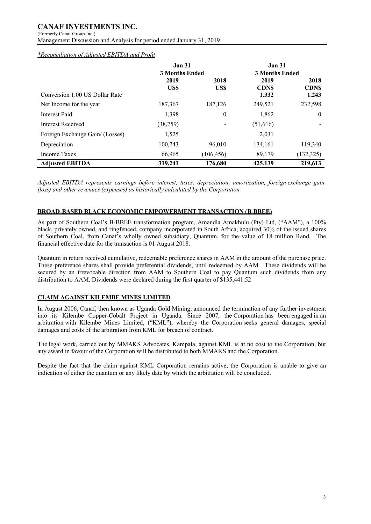# **CANAF INVESTMENTS INC.**

(Formerly Canaf Group Inc.)

Management Discussion and Analysis for period ended January 31, 2019

*\*Reconciliation of Adjusted EBITDA and Profit*

|                                 | <b>Jan 31</b>         |                  | <b>Jan 31</b>         |             |
|---------------------------------|-----------------------|------------------|-----------------------|-------------|
|                                 | <b>3 Months Ended</b> |                  | <b>3 Months Ended</b> |             |
|                                 | 2019                  | 2018             | 2019                  | 2018        |
|                                 | US\$                  | US\$             | <b>CDNS</b>           | <b>CDNS</b> |
| Conversion 1.00 US Dollar Rate  |                       |                  | 1.332                 | 1.243       |
| Net Income for the year         | 187,367               | 187,126          | 249,521               | 232,598     |
| Interest Paid                   | 1,398                 | $\boldsymbol{0}$ | 1,862                 | $\theta$    |
| Interest Received               | (38, 759)             |                  | (51,616)              |             |
| Foreign Exchange Gain/ (Losses) | 1,525                 |                  | 2,031                 |             |
| Depreciation                    | 100,743               | 96,010           | 134,161               | 119,340     |
| Income Taxes                    | 66,965                | (106, 456)       | 89,179                | (132, 325)  |
| <b>Adjusted EBITDA</b>          | 319,241               | 176.680          | 425,139               | 219,613     |

*Adjusted EBITDA represents earnings before interest, taxes, depreciation, amortization, foreign exchange gain (loss) and other revenues (expenses) as historically calculated by the Corporation.*

## **BROAD-BASED BLACK ECONOMIC EMPOWERMENT TRANSACTION (B-BBEE)**

As part of Southern Coal's B-BBEE transformation program, Amandla Amakhulu (Pty) Ltd, ("AAM"), a 100% black, privately owned, and ringfenced, company incorporated in South Africa, acquired 30% of the issued shares of Southern Coal, from Canaf's wholly owned subsidiary, Quantum, for the value of 18 million Rand. The financial effective date for the transaction is 01 August 2018.

Quantum in return received cumulative, redeemable preference shares in AAM in the amount of the purchase price. These preference shares shall provide preferential dividends, until redeemed by AAM. These dividends will be secured by an irrevocable direction from AAM to Southern Coal to pay Quantum such dividends from any distribution to AAM. Dividends were declared during the first quarter of \$135,441.52

## **CLAIM AGAINST KILEMBE MINES LIMITED**

In August 2006, Canaf, then known as Uganda Gold Mining, announced the termination of any further investment into its Kilembe Copper-Cobalt Project in Uganda. Since 2007, the Corporation has been engaged in an arbitration with Kilembe Mines Limited, ("KML"), whereby the Corporation seeks general damages, special damages and costs of the arbitration from KML for breach of contract.

The legal work, carried out by MMAKS Advocates, Kampala, against KML is at no cost to the Corporation, but any award in favour of the Corporation will be distributed to both MMAKS and the Corporation.

Despite the fact that the claim against KML Corporation remains active, the Corporation is unable to give an indication of either the quantum or any likely date by which the arbitration will be concluded.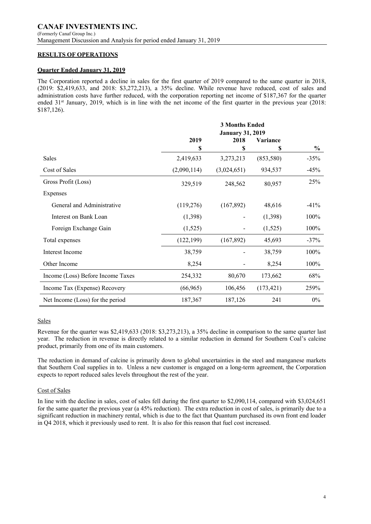## **RESULTS OF OPERATIONS**

### **Quarter Ended January 31, 2019**

The Corporation reported a decline in sales for the first quarter of 2019 compared to the same quarter in 2018, (2019: \$2,419,633, and 2018: \$3,272,213), a 35% decline. While revenue have reduced, cost of sales and administration costs have further reduced, with the corporation reporting net income of \$187,367 for the quarter ended 31<sup>st</sup> January, 2019, which is in line with the net income of the first quarter in the previous year (2018: \$187,126).

|                                   | <b>3 Months Ended</b><br><b>January 31, 2019</b> |             |                 |               |
|-----------------------------------|--------------------------------------------------|-------------|-----------------|---------------|
|                                   | 2019                                             | 2018        | <b>Variance</b> |               |
|                                   | \$                                               | \$          | S               | $\frac{0}{0}$ |
| <b>Sales</b>                      | 2,419,633                                        | 3,273,213   | (853,580)       | $-35%$        |
| Cost of Sales                     | (2,090,114)                                      | (3,024,651) | 934,537         | $-45%$        |
| Gross Profit (Loss)               | 329,519                                          | 248,562     | 80,957          | 25%           |
| Expenses                          |                                                  |             |                 |               |
| General and Administrative        | (119,276)                                        | (167, 892)  | 48,616          | $-41%$        |
| Interest on Bank Loan             | (1,398)                                          |             | (1,398)         | 100%          |
| Foreign Exchange Gain             | (1,525)                                          |             | (1,525)         | 100%          |
| Total expenses                    | (122, 199)                                       | (167, 892)  | 45,693          | $-37%$        |
| Interest Income                   | 38,759                                           |             | 38,759          | 100%          |
| Other Income                      | 8,254                                            |             | 8,254           | 100%          |
| Income (Loss) Before Income Taxes | 254,332                                          | 80,670      | 173,662         | 68%           |
| Income Tax (Expense) Recovery     | (66,965)                                         | 106,456     | (173, 421)      | 259%          |
| Net Income (Loss) for the period  | 187,367                                          | 187,126     | 241             | $0\%$         |

### Sales

Revenue for the quarter was \$2,419,633 (2018: \$3,273,213), a 35% decline in comparison to the same quarter last year. The reduction in revenue is directly related to a similar reduction in demand for Southern Coal's calcine product, primarily from one of its main customers.

The reduction in demand of calcine is primarily down to global uncertainties in the steel and manganese markets that Southern Coal supplies in to. Unless a new customer is engaged on a long-term agreement, the Corporation expects to report reduced sales levels throughout the rest of the year.

### Cost of Sales

In line with the decline in sales, cost of sales fell during the first quarter to \$2,090,114, compared with \$3,024,651 for the same quarter the previous year (a 45% reduction). The extra reduction in cost of sales, is primarily due to a significant reduction in machinery rental, which is due to the fact that Quantum purchased its own front end loader in Q4 2018, which it previously used to rent. It is also for this reason that fuel cost increased.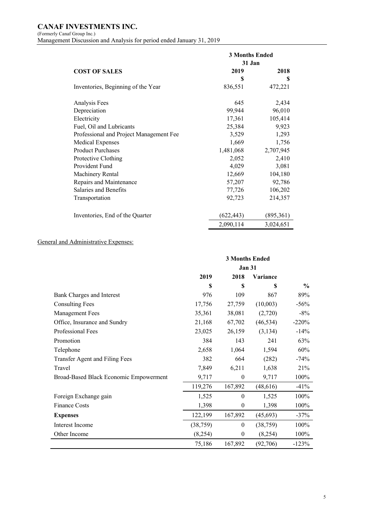## **CANAF INVESTMENTS INC.** (Formerly Canaf Group Inc.) Management Discussion and Analysis for period ended January 31, 2019

|                                         | <b>3 Months Ended</b> |           |  |
|-----------------------------------------|-----------------------|-----------|--|
|                                         | 31 Jan                |           |  |
| <b>COST OF SALES</b>                    | 2019                  | 2018      |  |
|                                         | S                     | S         |  |
| Inventories, Beginning of the Year      | 836,551               | 472,221   |  |
| Analysis Fees                           | 645                   | 2,434     |  |
| Depreciation                            | 99,944                | 96,010    |  |
| Electricity                             | 17,361                | 105,414   |  |
| Fuel, Oil and Lubricants                | 25,384                | 9,923     |  |
| Professional and Project Management Fee | 3,529                 | 1,293     |  |
| <b>Medical Expenses</b>                 | 1,669                 | 1,756     |  |
| <b>Product Purchases</b>                | 1,481,068             | 2,707,945 |  |
| Protective Clothing                     | 2,052                 | 2,410     |  |
| Provident Fund                          | 4,029                 | 3,081     |  |
| Machinery Rental                        | 12,669                | 104,180   |  |
| Repairs and Maintenance                 | 57,207                | 92,786    |  |
| Salaries and Benefits                   | 77,726                | 106,202   |  |
| Transportation                          | 92,723                | 214,357   |  |
| Inventories, End of the Quarter         | (622, 443)            | (895,361) |  |
|                                         | 2,090,114             | 3,024,651 |  |

# General and Administrative Expenses:

|                                        | <b>3 Months Ended</b> |              |           |               |
|----------------------------------------|-----------------------|--------------|-----------|---------------|
|                                        | <b>Jan 31</b>         |              |           |               |
|                                        | 2019                  | 2018         | Variance  |               |
|                                        | \$                    | \$           | \$        | $\frac{6}{9}$ |
| Bank Charges and Interest              | 976                   | 109          | 867       | 89%           |
| <b>Consulting Fees</b>                 | 17,756                | 27,759       | (10,003)  | $-56%$        |
| Management Fees                        | 35,361                | 38,081       | (2,720)   | $-8\%$        |
| Office, Insurance and Sundry           | 21,168                | 67,702       | (46, 534) | $-220%$       |
| Professional Fees                      | 23,025                | 26,159       | (3, 134)  | $-14%$        |
| Promotion                              | 384                   | 143          | 241       | 63%           |
| Telephone                              | 2,658                 | 1,064        | 1,594     | 60%           |
| Transfer Agent and Filing Fees         | 382                   | 664          | (282)     | $-74%$        |
| Travel                                 | 7,849                 | 6,211        | 1,638     | 21%           |
| Broad-Based Black Economic Empowerment | 9,717                 | $\theta$     | 9,717     | 100%          |
|                                        | 119,276               | 167,892      | (48, 616) | $-41%$        |
| Foreign Exchange gain                  | 1,525                 | $\theta$     | 1,525     | 100%          |
| <b>Finance Costs</b>                   | 1,398                 | $\mathbf{0}$ | 1,398     | 100%          |
| <b>Expenses</b>                        | 122,199               | 167,892      | (45, 693) | $-37%$        |
| Interest Income                        | (38, 759)             | $\mathbf{0}$ | (38, 759) | 100%          |
| Other Income                           | (8,254)               | $\mathbf{0}$ | (8,254)   | 100%          |
|                                        | 75,186                | 167,892      | (92,706)  | $-123%$       |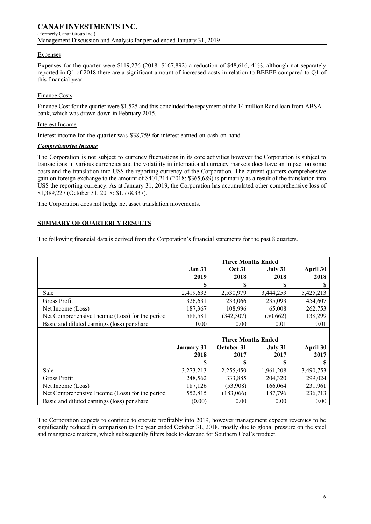#### Expenses

Expenses for the quarter were \$119,276 (2018: \$167,892) a reduction of \$48,616, 41%, although not separately reported in Q1 of 2018 there are a significant amount of increased costs in relation to BBEEE compared to Q1 of this financial year.

### Finance Costs

Finance Cost for the quarter were \$1,525 and this concluded the repayment of the 14 million Rand loan from ABSA bank, which was drawn down in February 2015.

### Interest Income

Interest income for the quarter was \$38,759 for interest earned on cash on hand

### *Comprehensive Income*

The Corporation is not subject to currency fluctuations in its core activities however the Corporation is subject to transactions in various currencies and the volatility in international currency markets does have an impact on some costs and the translation into US\$ the reporting currency of the Corporation. The current quarters comprehensive gain on foreign exchange to the amount of \$401,214 (2018: \$365,689) is primarily as a result of the translation into US\$ the reporting currency. As at January 31, 2019, the Corporation has accumulated other comprehensive loss of \$1,389,227 (October 31, 2018: \$1,778,337).

The Corporation does not hedge net asset translation movements.

## **SUMMARY OF QUARTERLY RESULTS**

The following financial data is derived from the Corporation's financial statements for the past 8 quarters.

|                                                |                   | <b>Three Months Ended</b> |           |           |
|------------------------------------------------|-------------------|---------------------------|-----------|-----------|
|                                                | <b>Jan 31</b>     | <b>Oct 31</b>             | July 31   | April 30  |
|                                                | 2019              | 2018                      | 2018      | 2018      |
|                                                | \$                | \$                        | \$        | S         |
| Sale                                           | 2,419,633         | 2,530,979                 | 3,444,253 | 5,425,213 |
| Gross Profit                                   | 326,631           | 233,066                   | 235,093   | 454,607   |
| Net Income (Loss)                              | 187,367           | 108,996                   | 65,008    | 262,753   |
| Net Comprehensive Income (Loss) for the period | 588,581           | (342, 307)                | (50,662)  | 138,299   |
| Basic and diluted earnings (loss) per share    | 0.00              | 0.00                      | 0.01      | 0.01      |
|                                                |                   |                           |           |           |
|                                                |                   | <b>Three Months Ended</b> |           |           |
|                                                | <b>January 31</b> | October 31                | July 31   | April 30  |
|                                                | 2018              | 2017                      | 2017      | 2017      |
|                                                | \$                | \$                        | \$        | \$.       |
| Sale                                           | 3,273,213         | 2,255,450                 | 1,961,208 | 3,490,753 |
| Gross Profit                                   | 248,562           | 333,885                   | 204,320   | 299,024   |
| Net Income (Loss)                              | 187,126           | (53,908)                  | 166,064   | 231,961   |
| Net Comprehensive Income (Loss) for the period | 552,815           | (183,066)                 | 187,796   | 236,713   |
| Basic and diluted earnings (loss) per share    | (0.00)            | 0.00                      | 0.00      | 0.00      |

The Corporation expects to continue to operate profitably into 2019, however management expects revenues to be significantly reduced in comparison to the year ended October 31, 2018, mostly due to global pressure on the steel and manganese markets, which subsequently filters back to demand for Southern Coal's product.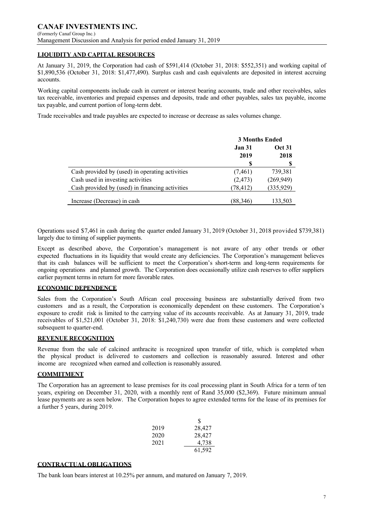## **LIQUIDITY AND CAPITAL RESOURCES**

At January 31, 2019, the Corporation had cash of \$591,414 (October 31, 2018: \$552,351) and working capital of \$1,890,536 (October 31, 2018: \$1,477,490). Surplus cash and cash equivalents are deposited in interest accruing accounts.

Working capital components include cash in current or interest bearing accounts, trade and other receivables, sales tax receivable, inventories and prepaid expenses and deposits, trade and other payables, sales tax payable, income tax payable, and current portion of long-term debt.

Trade receivables and trade payables are expected to increase or decrease as sales volumes change.

|                                                 | <b>3 Months Ended</b>          |            |  |
|-------------------------------------------------|--------------------------------|------------|--|
|                                                 | <b>Oct 31</b><br><b>Jan 31</b> |            |  |
|                                                 | 2019                           | 2018       |  |
|                                                 | S                              | S          |  |
| Cash provided by (used) in operating activities | (7, 461)                       | 739,381    |  |
| Cash used in investing activities               | (2, 473)                       | (269, 949) |  |
| Cash provided by (used) in financing activities | (78, 412)                      | (335, 929) |  |
|                                                 |                                |            |  |
| Increase (Decrease) in cash                     | (88,346)                       | 133,503    |  |

Operations used \$7,461 in cash during the quarter ended January 31, 2019 (October 31, 2018 provided \$739,381) largely due to timing of supplier payments.

Except as described above, the Corporation's management is not aware of any other trends or other expected fluctuations in its liquidity that would create any deficiencies. The Corporation's management believes that its cash balances will be sufficient to meet the Corporation's short-term and long-term requirements for ongoing operations and planned growth. The Corporation does occasionally utilize cash reserves to offer suppliers earlier payment terms in return for more favorable rates.

### **ECONOMIC DEPENDENCE**

Sales from the Corporation's South African coal processing business are substantially derived from two customers and as a result, the Corporation is economically dependent on these customers. The Corporation's exposure to credit risk is limited to the carrying value of its accounts receivable. As at January 31, 2019, trade receivables of \$1,521,001 (October 31, 2018: \$1,240,730) were due from these customers and were collected subsequent to quarter-end.

### **REVENUE RECOGNITION**

Revenue from the sale of calcined anthracite is recognized upon transfer of title, which is completed when the physical product is delivered to customers and collection is reasonably assured. Interest and other income are recognized when earned and collection is reasonably assured.

### **COMMITMENT**

The Corporation has an agreement to lease premises for its coal processing plant in South Africa for a term of ten years, expiring on December 31, 2020, with a monthly rent of Rand 35,000 (\$2,369). Future minimum annual lease payments are as seen below. The Corporation hopes to agree extended terms for the lease of its premises for a further 5 years, during 2019.

|      | S      |
|------|--------|
| 2019 | 28,427 |
| 2020 | 28,427 |
| 2021 | 4,738  |
|      | 61,592 |

### **CONTRACTUAL OBLIGATIONS**

The bank loan bears interest at 10.25% per annum, and matured on January 7, 2019.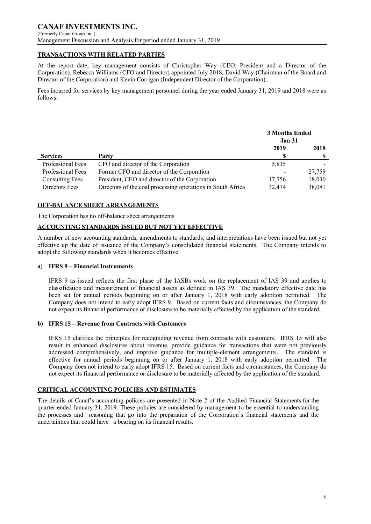## **TRANSACTIONS WITH RELATED PARTIES**

At the report date, key management consists of Christopher Way (CEO, President and a Director of the Corporation), Rebecca Williams (CFO and Director) appointed July 2018, David Way (Chairman of the Board and Director of the Corporation) and Kevin Corrigan (Independent Director of the Corporation).

Fees incurred for services by key management personnel during the year ended January 31, 2019 and 2018 were as follows:

|                        |                                                             | <b>3 Months Ended</b><br><b>Jan 31</b> |        |
|------------------------|-------------------------------------------------------------|----------------------------------------|--------|
|                        |                                                             | 2019                                   | 2018   |
| <b>Services</b>        | Party                                                       |                                        |        |
| Professional Fees      | CFO and director of the Corporation                         | 5,835                                  |        |
| Professional Fees      | Former CFO and director of the Corporation                  |                                        | 27,759 |
| <b>Consulting Fees</b> | President, CEO and director of the Corporation              | 17,756                                 | 18,030 |
| Directors Fees         | Directors of the coal processing operations in South Africa | 32,474                                 | 38,081 |

## **OFF-BALANCE SHEET ARRANGEMENTS**

The Corporation has no off-balance sheet arrangements

### **ACCOUNTING STANDARDS ISSUED BUT NOT YET EFFECTIVE**

A number of new accounting standards, amendments to standards, and interpretations have been issued but not yet effective up the date of issuance of the Company's consolidated financial statements. The Company intends to adopt the following standards when it becomes effective.

### **a) IFRS 9 – Financial Instruments**

IFRS 9 as issued reflects the first phase of the IASBs work on the replacement of IAS 39 and applies to classification and measurement of financial assets as defined in IAS 39. The mandatory effective date has been set for annual periods beginning on or after January 1, 2018 with early adoption permitted. The Company does not intend to early adopt IFRS 9. Based on current facts and circumstances, the Company do not expect its financial performance or disclosure to be materially affected by the application of the standard.

### **b) IFRS 15 – Revenue from Contracts with Customers**

IFRS 15 clarifies the principles for recognizing revenue from contracts with customers. IFRS 15 will also result in enhanced disclosures about revenue, provide guidance for transactions that were not previously addressed comprehensively, and improve guidance for multiple-element arrangements. The standard is effective for annual periods beginning on or after January 1, 2018 with early adoption permitted. The Company does not intend to early adopt IFRS 15. Based on current facts and circumstances, the Company do not expect its financial performance or disclosure to be materially affected by the application of the standard.

## **CRITICAL ACCOUNTING POLICIES AND ESTIMATES**

The details of Canaf's accounting policies are presented in Note 2 of the Audited Financial Statements for the quarter ended January 31, 2019. These policies are considered by management to be essential to understanding the processes and reasoning that go into the preparation of the Corporation's financial statements and the uncertainties that could have a bearing on its financial results.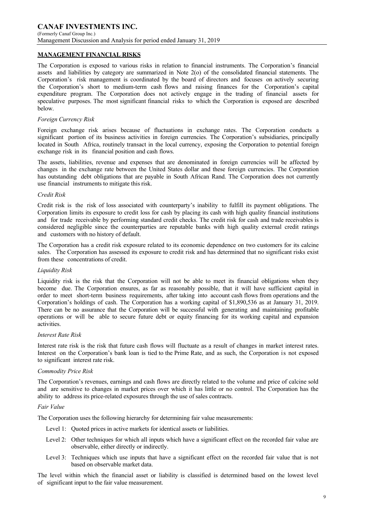## **MANAGEMENT FINANCIAL RISKS**

The Corporation is exposed to various risks in relation to financial instruments. The Corporation's financial assets and liabilities by category are summarized in Note 2(o) of the consolidated financial statements. The Corporation's risk management is coordinated by the board of directors and focuses on actively securing the Corporation's short to medium-term cash flows and raising finances for the Corporation's capital expenditure program. The Corporation does not actively engage in the trading of financial assets for speculative purposes. The most significant financial risks to which the Corporation is exposed are described below.

#### *Foreign Currency Risk*

Foreign exchange risk arises because of fluctuations in exchange rates. The Corporation conducts a significant portion of its business activities in foreign currencies. The Corporation's subsidiaries, principally located in South Africa, routinely transact in the local currency, exposing the Corporation to potential foreign exchange risk in its financial position and cash flows.

The assets, liabilities, revenue and expenses that are denominated in foreign currencies will be affected by changes in the exchange rate between the United States dollar and these foreign currencies. The Corporation has outstanding debt obligations that are payable in South African Rand. The Corporation does not currently use financial instruments to mitigate this risk.

#### *Credit Risk*

Credit risk is the risk of loss associated with counterparty's inability to fulfill its payment obligations. The Corporation limits its exposure to credit loss for cash by placing its cash with high quality financial institutions and for trade receivable by performing standard credit checks. The credit risk for cash and trade receivables is considered negligible since the counterparties are reputable banks with high quality external credit ratings and customers with no history of default.

The Corporation has a credit risk exposure related to its economic dependence on two customers for its calcine sales. The Corporation has assessed its exposure to credit risk and has determined that no significant risks exist from these concentrations of credit.

#### *Liquidity Risk*

Liquidity risk is the risk that the Corporation will not be able to meet its financial obligations when they become due. The Corporation ensures, as far as reasonably possible, that it will have sufficient capital in order to meet short-term business requirements, after taking into account cash flows from operations and the Corporation's holdings of cash. The Corporation has a working capital of \$1,890,536 as at January 31, 2019. There can be no assurance that the Corporation will be successful with generating and maintaining profitable operations or will be able to secure future debt or equity financing for its working capital and expansion activities.

#### *Interest Rate Risk*

Interest rate risk is the risk that future cash flows will fluctuate as a result of changes in market interest rates. Interest on the Corporation's bank loan is tied to the Prime Rate, and as such, the Corporation is not exposed to significant interest rate risk.

### *Commodity Price Risk*

The Corporation's revenues, earnings and cash flows are directly related to the volume and price of calcine sold and are sensitive to changes in market prices over which it has little or no control. The Corporation has the ability to address its price-related exposures through the use of sales contracts.

#### *Fair Value*

The Corporation uses the following hierarchy for determining fair value measurements:

- Level 1: Ouoted prices in active markets for identical assets or liabilities.
- Level 2: Other techniques for which all inputs which have a significant effect on the recorded fair value are observable, either directly or indirectly.
- Level 3: Techniques which use inputs that have a significant effect on the recorded fair value that is not based on observable market data.

The level within which the financial asset or liability is classified is determined based on the lowest level of significant input to the fair value measurement.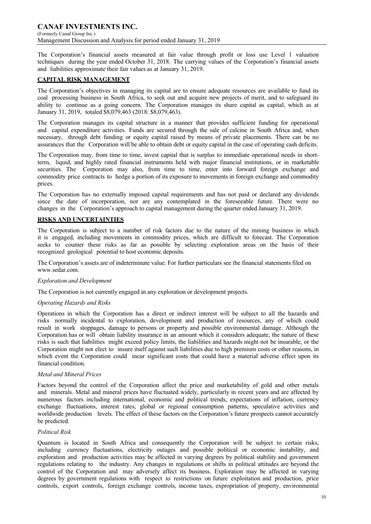### **CANAF INVESTMENTS INC.** (Formerly Canaf Group Inc.) Management Discussion and Analysis for period ended January 31, 2019

The Corporation's financial assets measured at fair value through profit or loss use Level 1 valuation techniques during the year ended October 31, 2018. The carrying values of the Corporation's financial assets and liabilities approximate their fair values as at January 31, 2019.

## **CAPITAL RISK MANAGEMENT**

The Corporation's objectives in managing its capital are to ensure adequate resources are available to fund its coal processing business in South Africa, to seek out and acquire new projects of merit, and to safeguard its ability to continue as a going concern. The Corporation manages its share capital as capital, which as at January 31, 2019, totaled \$8,079,463 (2018: \$8,079,463).

The Corporation manages its capital structure in a manner that provides sufficient funding for operational and capital expenditure activities. Funds are secured through the sale of calcine in South Africa and, when necessary, through debt funding or equity capital raised by means of private placements. There can be no assurances that the Corporation will be able to obtain debt or equity capital in the case of operating cash deficits.

The Corporation may, from time to time, invest capital that is surplus to immediate operational needs in shortterm, liquid, and highly rated financial instruments held with major financial institutions, or in marketable securities. The Corporation may also, from time to time, enter into forward foreign exchange and commodity price contracts to hedge a portion of its exposure to movements in foreign exchange and commodity prices.

The Corporation has no externally imposed capital requirements and has not paid or declared any dividends since the date of incorporation, nor are any contemplated in the foreseeable future. There were no changes in the Corporation's approach to capital management during the quarter ended January 31, 2019.

## **RISKS AND UNCERTAINTIES**

The Corporation is subject to a number of risk factors due to the nature of the mining business in which it is engaged, including movements in commodity prices, which are difficult to forecast. The Corporation seeks to counter these risks as far as possible by selecting exploration areas on the basis of their recognized geological potential to host economic deposits.

The Corporation's assets are of indeterminate value. For further particulars see the financial statements filed on www.sedar.com.

### *Exploration and Development*

The Corporation is not currently engaged in any exploration or development projects.

### *Operating Hazards and Risks*

Operations in which the Corporation has a direct or indirect interest will be subject to all the hazards and risks normally incidental to exploration, development and production of resources, any of which could result in work stoppages, damage to persons or property and possible environmental damage. Although the Corporation has or will obtain liability insurance in an amount which it considers adequate, the nature of these risks is such that liabilities might exceed policy limits, the liabilities and hazards might not be insurable, or the Corporation might not elect to insure itself against such liabilities due to high premium costs or other reasons, in which event the Corporation could incur significant costs that could have a material adverse effect upon its financial condition.

### *Metal and Mineral Prices*

Factors beyond the control of the Corporation affect the price and marketability of gold and other metals and minerals. Metal and mineral prices have fluctuated widely, particularly in recent years and are affected by numerous factors including international, economic and political trends, expectations of inflation, currency exchange fluctuations, interest rates, global or regional consumption patterns, speculative activities and worldwide production levels. The effect of these factors on the Corporation's future prospects cannot accurately be predicted.

### *Political Risk*

Quantum is located in South Africa and consequently the Corporation will be subject to certain risks, including currency fluctuations, electricity outages and possible political or economic instability, and exploration and production activities may be affected in varying degrees by political stability and government regulations relating to the industry. Any changes in regulations or shifts in political attitudes are beyond the control of the Corporation and may adversely affect its business. Exploration may be affected in varying degrees by government regulations with respect to restrictions on future exploitation and production, price controls, export controls, foreign exchange controls, income taxes, expropriation of property, environmental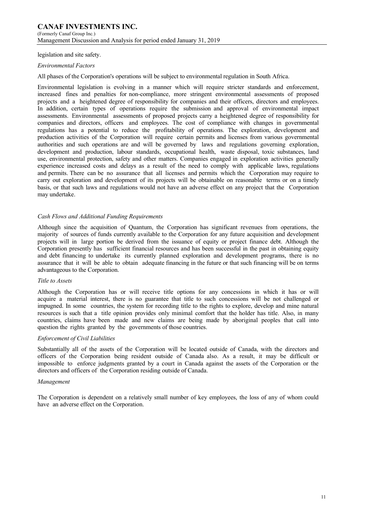#### legislation and site safety.

#### *Environmental Factors*

All phases of the Corporation's operations will be subject to environmental regulation in South Africa.

Environmental legislation is evolving in a manner which will require stricter standards and enforcement, increased fines and penalties for non-compliance, more stringent environmental assessments of proposed projects and a heightened degree of responsibility for companies and their officers, directors and employees. In addition, certain types of operations require the submission and approval of environmental impact assessments. Environmental assessments of proposed projects carry a heightened degree of responsibility for companies and directors, officers and employees. The cost of compliance with changes in governmental regulations has a potential to reduce the profitability of operations. The exploration, development and production activities of the Corporation will require certain permits and licenses from various governmental authorities and such operations are and will be governed by laws and regulations governing exploration, development and production, labour standards, occupational health, waste disposal, toxic substances, land use, environmental protection, safety and other matters. Companies engaged in exploration activities generally experience increased costs and delays as a result of the need to comply with applicable laws, regulations and permits. There can be no assurance that all licenses and permits which the Corporation may require to carry out exploration and development of its projects will be obtainable on reasonable terms or on a timely basis, or that such laws and regulations would not have an adverse effect on any project that the Corporation may undertake.

#### *Cash Flows and Additional Funding Requirements*

Although since the acquisition of Quantum, the Corporation has significant revenues from operations, the majority of sources of funds currently available to the Corporation for any future acquisition and development projects will in large portion be derived from the issuance of equity or project finance debt. Although the Corporation presently has sufficient financial resources and has been successful in the past in obtaining equity and debt financing to undertake its currently planned exploration and development programs, there is no assurance that it will be able to obtain adequate financing in the future or that such financing will be on terms advantageous to the Corporation.

#### *Title to Assets*

Although the Corporation has or will receive title options for any concessions in which it has or will acquire a material interest, there is no guarantee that title to such concessions will be not challenged or impugned. In some countries, the system for recording title to the rights to explore, develop and mine natural resources is such that a title opinion provides only minimal comfort that the holder has title. Also, in many countries, claims have been made and new claims are being made by aboriginal peoples that call into question the rights granted by the governments of those countries.

#### *Enforcement of Civil Liabilities*

Substantially all of the assets of the Corporation will be located outside of Canada, with the directors and officers of the Corporation being resident outside of Canada also. As a result, it may be difficult or impossible to enforce judgments granted by a court in Canada against the assets of the Corporation or the directors and officers of the Corporation residing outside of Canada.

#### *Management*

The Corporation is dependent on a relatively small number of key employees, the loss of any of whom could have an adverse effect on the Corporation.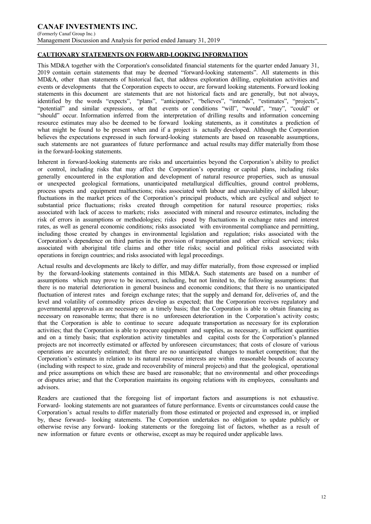#### **CANAF INVESTMENTS INC.** (Formerly Canaf Group Inc.) Management Discussion and Analysis for period ended January 31, 2019

## **CAUTIONARY STATEMENTS ON FORWARD-LOOKING INFORMATION**

This MD&A together with the Corporation's consolidated financial statements for the quarter ended January 31, 2019 contain certain statements that may be deemed "forward-looking statements". All statements in this MD&A, other than statements of historical fact, that address exploration drilling, exploitation activities and events or developments that the Corporation expects to occur, are forward looking statements. Forward looking statements in this document are statements that are not historical facts and are generally, but not always, identified by the words "expects", "plans", "anticipates", "believes", "intends", "estimates", "projects", "potential" and similar expressions, or that events or conditions "will", "would", "may", "could" or "should" occur. Information inferred from the interpretation of drilling results and information concerning resource estimates may also be deemed to be forward looking statements, as it constitutes a prediction of what might be found to be present when and if a project is actually developed. Although the Corporation believes the expectations expressed in such forward-looking statements are based on reasonable assumptions, such statements are not guarantees of future performance and actual results may differ materially from those in the forward-looking statements.

Inherent in forward-looking statements are risks and uncertainties beyond the Corporation's ability to predict or control, including risks that may affect the Corporation's operating or capital plans, including risks generally encountered in the exploration and development of natural resource properties, such as unusual or unexpected geological formations, unanticipated metallurgical difficulties, ground control problems, process upsets and equipment malfunctions; risks associated with labour and unavailability of skilled labour; fluctuations in the market prices of the Corporation's principal products, which are cyclical and subject to substantial price fluctuations; risks created through competition for natural resource properties; risks associated with lack of access to markets; risks associated with mineral and resource estimates, including the risk of errors in assumptions or methodologies; risks posed by fluctuations in exchange rates and interest rates, as well as general economic conditions; risks associated with environmental compliance and permitting, including those created by changes in environmental legislation and regulation; risks associated with the Corporation's dependence on third parties in the provision of transportation and other critical services; risks associated with aboriginal title claims and other title risks; social and political risks associated with operations in foreign countries; and risks associated with legal proceedings.

Actual results and developments are likely to differ, and may differ materially, from those expressed or implied by the forward-looking statements contained in this MD&A. Such statements are based on a number of assumptions which may prove to be incorrect, including, but not limited to, the following assumptions: that there is no material deterioration in general business and economic conditions; that there is no unanticipated fluctuation of interest rates and foreign exchange rates; that the supply and demand for, deliveries of, and the level and volatility of commodity prices develop as expected; that the Corporation receives regulatory and governmental approvals as are necessary on a timely basis; that the Corporation is able to obtain financing as necessary on reasonable terms; that there is no unforeseen deterioration in the Corporation's activity costs; that the Corporation is able to continue to secure adequate transportation as necessary for its exploration activities; that the Corporation is able to procure equipment and supplies, as necessary, in sufficient quantities and on a timely basis; that exploration activity timetables and capital costs for the Corporation's planned projects are not incorrectly estimated or affected by unforeseen circumstances; that costs of closure of various operations are accurately estimated; that there are no unanticipated changes to market competition; that the Corporation's estimates in relation to its natural resource interests are within reasonable bounds of accuracy (including with respect to size, grade and recoverability of mineral projects) and that the geological, operational and price assumptions on which these are based are reasonable; that no environmental and other proceedings or disputes arise; and that the Corporation maintains its ongoing relations with its employees, consultants and advisors.

Readers are cautioned that the foregoing list of important factors and assumptions is not exhaustive. Forward- looking statements are not guarantees of future performance. Events or circumstances could cause the Corporation's actual results to differ materially from those estimated or projected and expressed in, or implied by, these forward- looking statements. The Corporation undertakes no obligation to update publicly or otherwise revise any forward- looking statements or the foregoing list of factors, whether as a result of new information or future events or otherwise, except as may be required under applicable laws.